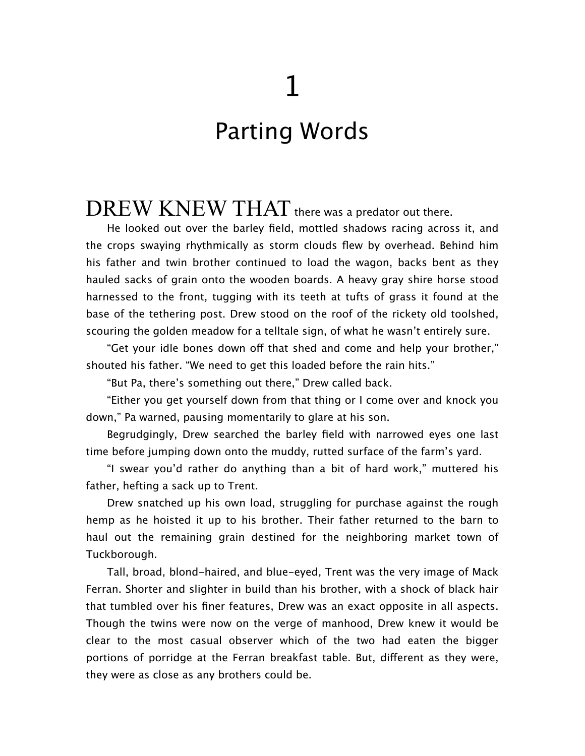## Parting Words

## DREW KNEW THAT there was a predator out there.

He looked out over the barley field, mottled shadows racing across it, and the crops swaying rhythmically as storm clouds flew by overhead. Behind him his father and twin brother continued to load the wagon, backs bent as they hauled sacks of grain onto the wooden boards. A heavy gray shire horse stood harnessed to the front, tugging with its teeth at tufts of grass it found at the base of the tethering post. Drew stood on the roof of the rickety old toolshed, scouring the golden meadow for a telltale sign, of what he wasn't entirely sure.

"Get your idle bones down off that shed and come and help your brother," shouted his father. "We need to get this loaded before the rain hits."

"But Pa, there's something out there," Drew called back.

"Either you get yourself down from that thing or I come over and knock you down," Pa warned, pausing momentarily to glare at his son.

Begrudgingly, Drew searched the barley field with narrowed eyes one last time before jumping down onto the muddy, rutted surface of the farm's yard.

"I swear you'd rather do anything than a bit of hard work," muttered his father, hefting a sack up to Trent.

Drew snatched up his own load, struggling for purchase against the rough hemp as he hoisted it up to his brother. Their father returned to the barn to haul out the remaining grain destined for the neighboring market town of Tuckborough.

Tall, broad, blond-haired, and blue-eyed, Trent was the very image of Mack Ferran. Shorter and slighter in build than his brother, with a shock of black hair that tumbled over his finer features, Drew was an exact opposite in all aspects. Though the twins were now on the verge of manhood, Drew knew it would be clear to the most casual observer which of the two had eaten the bigger portions of porridge at the Ferran breakfast table. But, diferent as they were, they were as close as any brothers could be.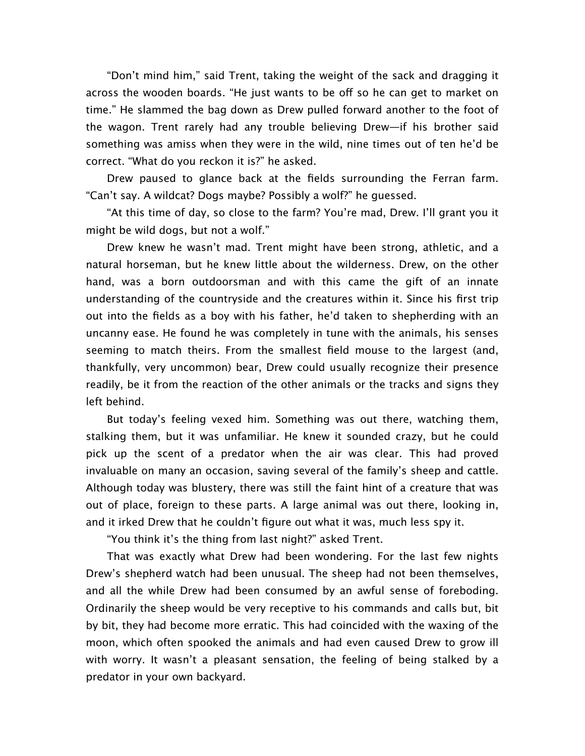"Don't mind him," said Trent, taking the weight of the sack and dragging it across the wooden boards. "He just wants to be off so he can get to market on time." He slammed the bag down as Drew pulled forward another to the foot of the wagon. Trent rarely had any trouble believing Drew—if his brother said something was amiss when they were in the wild, nine times out of ten he'd be correct. "What do you reckon it is?" he asked.

Drew paused to glance back at the fields surrounding the Ferran farm. "Can't say. A wildcat? Dogs maybe? Possibly a wolf?" he guessed.

"At this time of day, so close to the farm? You're mad, Drew. I'll grant you it might be wild dogs, but not a wolf."

Drew knew he wasn't mad. Trent might have been strong, athletic, and a natural horseman, but he knew little about the wilderness. Drew, on the other hand, was a born outdoorsman and with this came the gift of an innate understanding of the countryside and the creatures within it. Since his first trip out into the fields as a boy with his father, he'd taken to shepherding with an uncanny ease. He found he was completely in tune with the animals, his senses seeming to match theirs. From the smallest field mouse to the largest (and, thankfully, very uncommon) bear, Drew could usually recognize their presence readily, be it from the reaction of the other animals or the tracks and signs they left behind.

But today's feeling vexed him. Something was out there, watching them, stalking them, but it was unfamiliar. He knew it sounded crazy, but he could pick up the scent of a predator when the air was clear. This had proved invaluable on many an occasion, saving several of the family's sheep and cattle. Although today was blustery, there was still the faint hint of a creature that was out of place, foreign to these parts. A large animal was out there, looking in, and it irked Drew that he couldn't figure out what it was, much less spy it.

"You think it's the thing from last night?" asked Trent.

That was exactly what Drew had been wondering. For the last few nights Drew's shepherd watch had been unusual. The sheep had not been themselves, and all the while Drew had been consumed by an awful sense of foreboding. Ordinarily the sheep would be very receptive to his commands and calls but, bit by bit, they had become more erratic. This had coincided with the waxing of the moon, which often spooked the animals and had even caused Drew to grow ill with worry. It wasn't a pleasant sensation, the feeling of being stalked by a predator in your own backyard.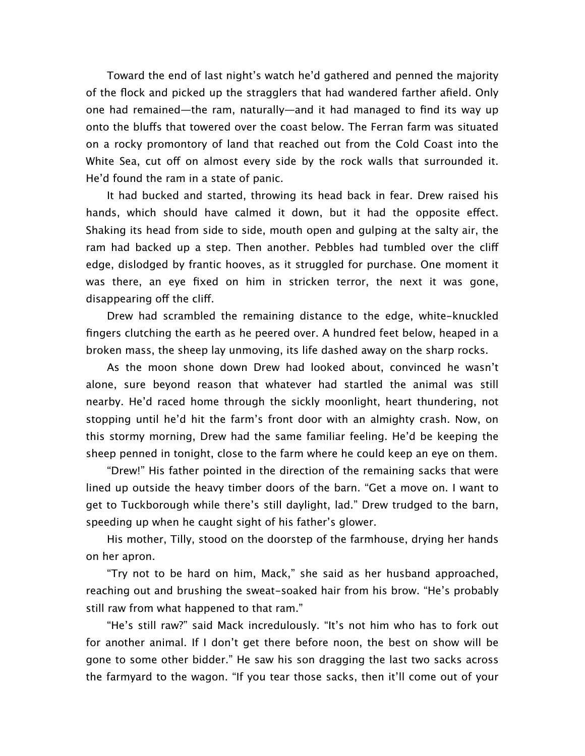Toward the end of last night's watch he'd gathered and penned the majority of the flock and picked up the stragglers that had wandered farther afield. Only one had remained—the ram, naturally—and it had managed to find its way up onto the blufs that towered over the coast below. The Ferran farm was situated on a rocky promontory of land that reached out from the Cold Coast into the White Sea, cut off on almost every side by the rock walls that surrounded it. He'd found the ram in a state of panic.

It had bucked and started, throwing its head back in fear. Drew raised his hands, which should have calmed it down, but it had the opposite efect. Shaking its head from side to side, mouth open and gulping at the salty air, the ram had backed up a step. Then another. Pebbles had tumbled over the clif edge, dislodged by frantic hooves, as it struggled for purchase. One moment it was there, an eye fixed on him in stricken terror, the next it was gone, disappearing off the cliff.

Drew had scrambled the remaining distance to the edge, white-knuckled fingers clutching the earth as he peered over. A hundred feet below, heaped in a broken mass, the sheep lay unmoving, its life dashed away on the sharp rocks.

As the moon shone down Drew had looked about, convinced he wasn't alone, sure beyond reason that whatever had startled the animal was still nearby. He'd raced home through the sickly moonlight, heart thundering, not stopping until he'd hit the farm's front door with an almighty crash. Now, on this stormy morning, Drew had the same familiar feeling. He'd be keeping the sheep penned in tonight, close to the farm where he could keep an eye on them.

"Drew!" His father pointed in the direction of the remaining sacks that were lined up outside the heavy timber doors of the barn. "Get a move on. I want to get to Tuckborough while there's still daylight, lad." Drew trudged to the barn, speeding up when he caught sight of his father's glower.

His mother, Tilly, stood on the doorstep of the farmhouse, drying her hands on her apron.

"Try not to be hard on him, Mack," she said as her husband approached, reaching out and brushing the sweat-soaked hair from his brow. "He's probably still raw from what happened to that ram."

"He's still raw?" said Mack incredulously. "It's not him who has to fork out for another animal. If I don't get there before noon, the best on show will be gone to some other bidder." He saw his son dragging the last two sacks across the farmyard to the wagon. "If you tear those sacks, then it'll come out of your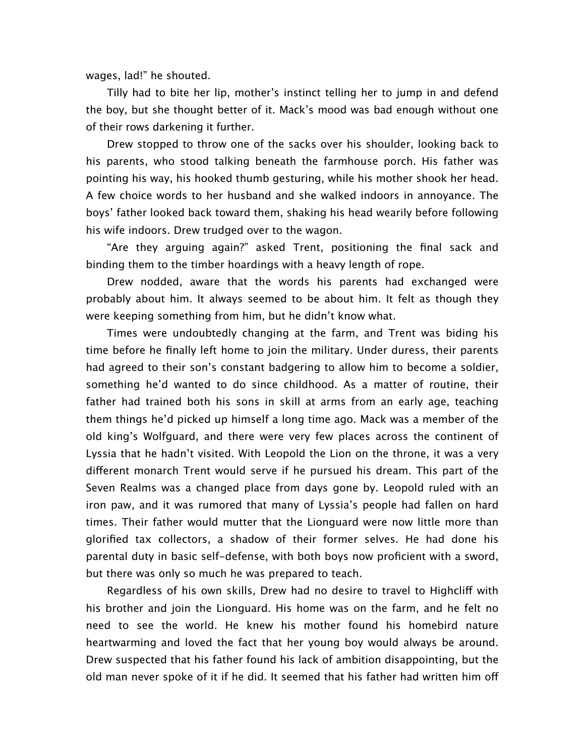wages, lad!" he shouted.

Tilly had to bite her lip, mother's instinct telling her to jump in and defend the boy, but she thought better of it. Mack's mood was bad enough without one of their rows darkening it further.

Drew stopped to throw one of the sacks over his shoulder, looking back to his parents, who stood talking beneath the farmhouse porch. His father was pointing his way, his hooked thumb gesturing, while his mother shook her head. A few choice words to her husband and she walked indoors in annoyance. The boys' father looked back toward them, shaking his head wearily before following his wife indoors. Drew trudged over to the wagon.

"Are they arguing again?" asked Trent, positioning the final sack and binding them to the timber hoardings with a heavy length of rope.

Drew nodded, aware that the words his parents had exchanged were probably about him. It always seemed to be about him. It felt as though they were keeping something from him, but he didn't know what.

Times were undoubtedly changing at the farm, and Trent was biding his time before he finally left home to join the military. Under duress, their parents had agreed to their son's constant badgering to allow him to become a soldier, something he'd wanted to do since childhood. As a matter of routine, their father had trained both his sons in skill at arms from an early age, teaching them things he'd picked up himself a long time ago. Mack was a member of the old king's Wolfguard, and there were very few places across the continent of Lyssia that he hadn't visited. With Leopold the Lion on the throne, it was a very diferent monarch Trent would serve if he pursued his dream. This part of the Seven Realms was a changed place from days gone by. Leopold ruled with an iron paw, and it was rumored that many of Lyssia's people had fallen on hard times. Their father would mutter that the Lionguard were now little more than glorified tax collectors, a shadow of their former selves. He had done his parental duty in basic self-defense, with both boys now proficient with a sword, but there was only so much he was prepared to teach.

Regardless of his own skills, Drew had no desire to travel to Highclif with his brother and join the Lionguard. His home was on the farm, and he felt no need to see the world. He knew his mother found his homebird nature heartwarming and loved the fact that her young boy would always be around. Drew suspected that his father found his lack of ambition disappointing, but the old man never spoke of it if he did. It seemed that his father had written him of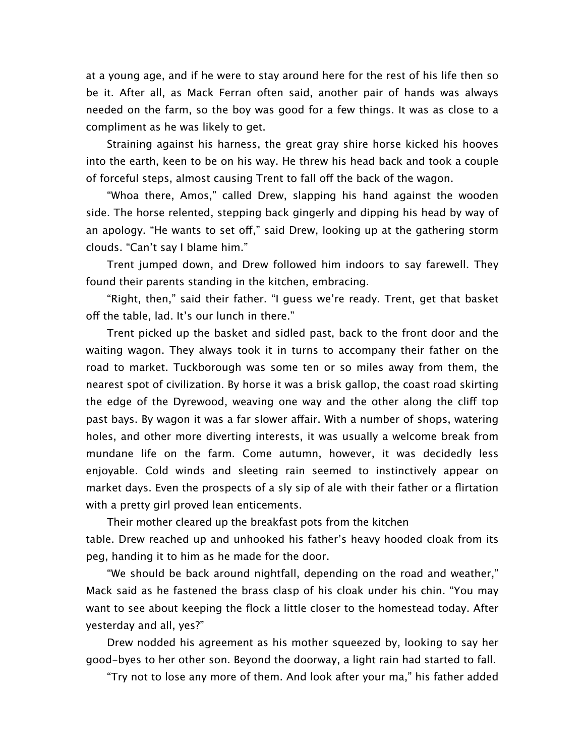at a young age, and if he were to stay around here for the rest of his life then so be it. After all, as Mack Ferran often said, another pair of hands was always needed on the farm, so the boy was good for a few things. It was as close to a compliment as he was likely to get.

Straining against his harness, the great gray shire horse kicked his hooves into the earth, keen to be on his way. He threw his head back and took a couple of forceful steps, almost causing Trent to fall off the back of the wagon.

"Whoa there, Amos," called Drew, slapping his hand against the wooden side. The horse relented, stepping back gingerly and dipping his head by way of an apology. "He wants to set off," said Drew, looking up at the gathering storm clouds. "Can't say I blame him."

Trent jumped down, and Drew followed him indoors to say farewell. They found their parents standing in the kitchen, embracing.

"Right, then," said their father. "I guess we're ready. Trent, get that basket off the table, lad. It's our lunch in there."

Trent picked up the basket and sidled past, back to the front door and the waiting wagon. They always took it in turns to accompany their father on the road to market. Tuckborough was some ten or so miles away from them, the nearest spot of civilization. By horse it was a brisk gallop, the coast road skirting the edge of the Dyrewood, weaving one way and the other along the clif top past bays. By wagon it was a far slower affair. With a number of shops, watering holes, and other more diverting interests, it was usually a welcome break from mundane life on the farm. Come autumn, however, it was decidedly less enjoyable. Cold winds and sleeting rain seemed to instinctively appear on market days. Even the prospects of a sly sip of ale with their father or a flirtation with a pretty girl proved lean enticements.

Their mother cleared up the breakfast pots from the kitchen table. Drew reached up and unhooked his father's heavy hooded cloak from its peg, handing it to him as he made for the door.

"We should be back around nightfall, depending on the road and weather," Mack said as he fastened the brass clasp of his cloak under his chin. "You may want to see about keeping the flock a little closer to the homestead today. After yesterday and all, yes?"

Drew nodded his agreement as his mother squeezed by, looking to say her good-byes to her other son. Beyond the doorway, a light rain had started to fall.

"Try not to lose any more of them. And look after your ma," his father added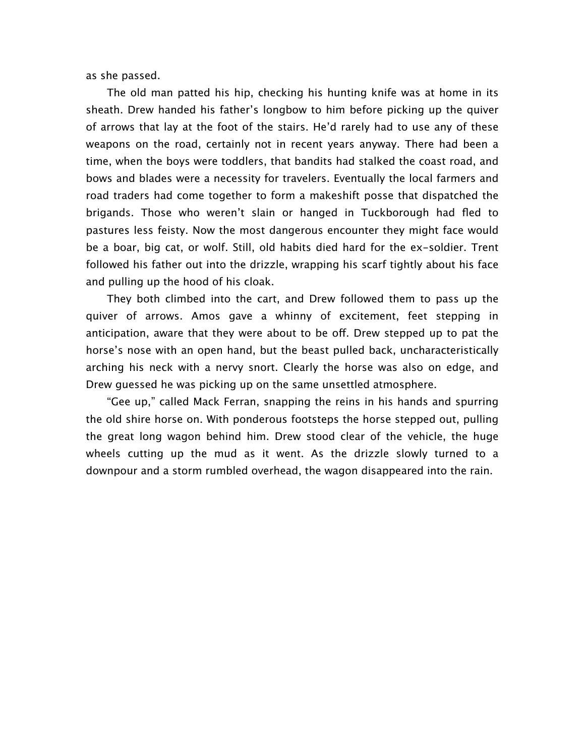as she passed.

The old man patted his hip, checking his hunting knife was at home in its sheath. Drew handed his father's longbow to him before picking up the quiver of arrows that lay at the foot of the stairs. He'd rarely had to use any of these weapons on the road, certainly not in recent years anyway. There had been a time, when the boys were toddlers, that bandits had stalked the coast road, and bows and blades were a necessity for travelers. Eventually the local farmers and road traders had come together to form a makeshift posse that dispatched the brigands. Those who weren't slain or hanged in Tuckborough had fled to pastures less feisty. Now the most dangerous encounter they might face would be a boar, big cat, or wolf. Still, old habits died hard for the ex-soldier. Trent followed his father out into the drizzle, wrapping his scarf tightly about his face and pulling up the hood of his cloak.

They both climbed into the cart, and Drew followed them to pass up the quiver of arrows. Amos gave a whinny of excitement, feet stepping in anticipation, aware that they were about to be of. Drew stepped up to pat the horse's nose with an open hand, but the beast pulled back, uncharacteristically arching his neck with a nervy snort. Clearly the horse was also on edge, and Drew guessed he was picking up on the same unsettled atmosphere.

"Gee up," called Mack Ferran, snapping the reins in his hands and spurring the old shire horse on. With ponderous footsteps the horse stepped out, pulling the great long wagon behind him. Drew stood clear of the vehicle, the huge wheels cutting up the mud as it went. As the drizzle slowly turned to a downpour and a storm rumbled overhead, the wagon disappeared into the rain.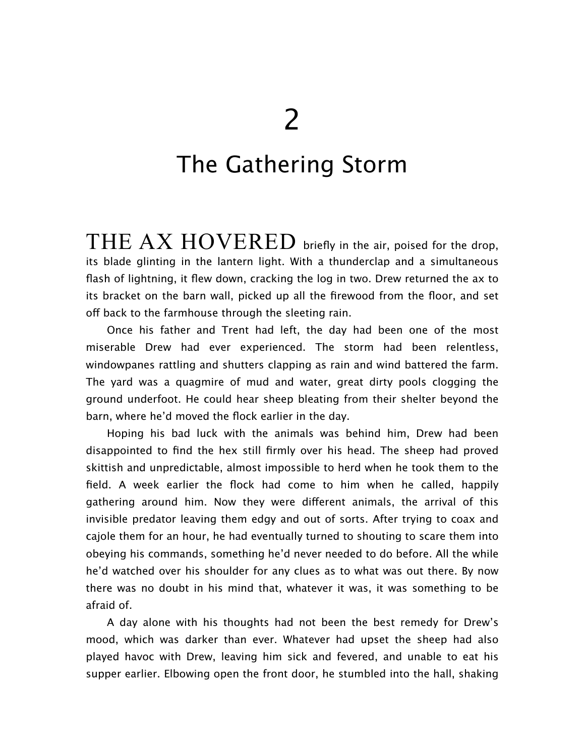## The Gathering Storm

THE AX HOVERED briefly in the air, poised for the drop, its blade glinting in the lantern light. With a thunderclap and a simultaneous flash of lightning, it flew down, cracking the log in two. Drew returned the ax to its bracket on the barn wall, picked up all the firewood from the floor, and set off back to the farmhouse through the sleeting rain.

Once his father and Trent had left, the day had been one of the most miserable Drew had ever experienced. The storm had been relentless, windowpanes rattling and shutters clapping as rain and wind battered the farm. The yard was a quagmire of mud and water, great dirty pools clogging the ground underfoot. He could hear sheep bleating from their shelter beyond the barn, where he'd moved the flock earlier in the day.

Hoping his bad luck with the animals was behind him, Drew had been disappointed to find the hex still firmly over his head. The sheep had proved skittish and unpredictable, almost impossible to herd when he took them to the field. A week earlier the flock had come to him when he called, happily gathering around him. Now they were diferent animals, the arrival of this invisible predator leaving them edgy and out of sorts. After trying to coax and cajole them for an hour, he had eventually turned to shouting to scare them into obeying his commands, something he'd never needed to do before. All the while he'd watched over his shoulder for any clues as to what was out there. By now there was no doubt in his mind that, whatever it was, it was something to be afraid of.

A day alone with his thoughts had not been the best remedy for Drew's mood, which was darker than ever. Whatever had upset the sheep had also played havoc with Drew, leaving him sick and fevered, and unable to eat his supper earlier. Elbowing open the front door, he stumbled into the hall, shaking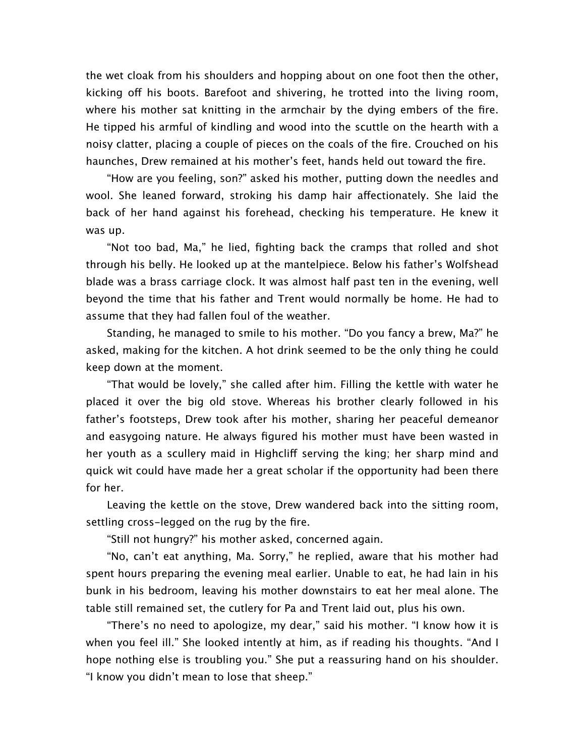the wet cloak from his shoulders and hopping about on one foot then the other, kicking off his boots. Barefoot and shivering, he trotted into the living room, where his mother sat knitting in the armchair by the dying embers of the fire. He tipped his armful of kindling and wood into the scuttle on the hearth with a noisy clatter, placing a couple of pieces on the coals of the fire. Crouched on his haunches, Drew remained at his mother's feet, hands held out toward the fire.

"How are you feeling, son?" asked his mother, putting down the needles and wool. She leaned forward, stroking his damp hair afectionately. She laid the back of her hand against his forehead, checking his temperature. He knew it was up.

"Not too bad, Ma," he lied, fighting back the cramps that rolled and shot through his belly. He looked up at the mantelpiece. Below his father's Wolfshead blade was a brass carriage clock. It was almost half past ten in the evening, well beyond the time that his father and Trent would normally be home. He had to assume that they had fallen foul of the weather.

Standing, he managed to smile to his mother. "Do you fancy a brew, Ma?" he asked, making for the kitchen. A hot drink seemed to be the only thing he could keep down at the moment.

"That would be lovely," she called after him. Filling the kettle with water he placed it over the big old stove. Whereas his brother clearly followed in his father's footsteps, Drew took after his mother, sharing her peaceful demeanor and easygoing nature. He always figured his mother must have been wasted in her youth as a scullery maid in Highcliff serving the king; her sharp mind and quick wit could have made her a great scholar if the opportunity had been there for her.

Leaving the kettle on the stove, Drew wandered back into the sitting room, settling cross-legged on the rug by the fire.

"Still not hungry?" his mother asked, concerned again.

"No, can't eat anything, Ma. Sorry," he replied, aware that his mother had spent hours preparing the evening meal earlier. Unable to eat, he had lain in his bunk in his bedroom, leaving his mother downstairs to eat her meal alone. The table still remained set, the cutlery for Pa and Trent laid out, plus his own.

"There's no need to apologize, my dear," said his mother. "I know how it is when you feel ill." She looked intently at him, as if reading his thoughts. "And I hope nothing else is troubling you." She put a reassuring hand on his shoulder. "I know you didn't mean to lose that sheep."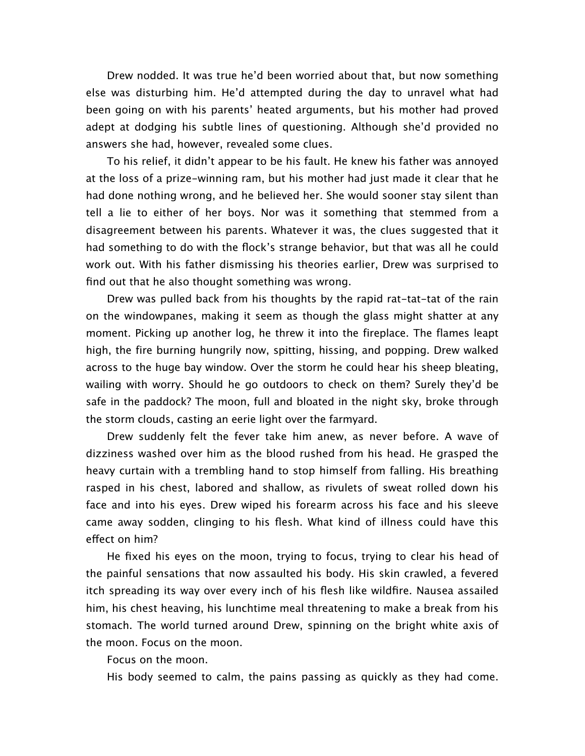Drew nodded. It was true he'd been worried about that, but now something else was disturbing him. He'd attempted during the day to unravel what had been going on with his parents' heated arguments, but his mother had proved adept at dodging his subtle lines of questioning. Although she'd provided no answers she had, however, revealed some clues.

To his relief, it didn't appear to be his fault. He knew his father was annoyed at the loss of a prize-winning ram, but his mother had just made it clear that he had done nothing wrong, and he believed her. She would sooner stay silent than tell a lie to either of her boys. Nor was it something that stemmed from a disagreement between his parents. Whatever it was, the clues suggested that it had something to do with the flock's strange behavior, but that was all he could work out. With his father dismissing his theories earlier, Drew was surprised to find out that he also thought something was wrong.

Drew was pulled back from his thoughts by the rapid rat-tat-tat of the rain on the windowpanes, making it seem as though the glass might shatter at any moment. Picking up another log, he threw it into the fireplace. The flames leapt high, the fire burning hungrily now, spitting, hissing, and popping. Drew walked across to the huge bay window. Over the storm he could hear his sheep bleating, wailing with worry. Should he go outdoors to check on them? Surely they'd be safe in the paddock? The moon, full and bloated in the night sky, broke through the storm clouds, casting an eerie light over the farmyard.

Drew suddenly felt the fever take him anew, as never before. A wave of dizziness washed over him as the blood rushed from his head. He grasped the heavy curtain with a trembling hand to stop himself from falling. His breathing rasped in his chest, labored and shallow, as rivulets of sweat rolled down his face and into his eyes. Drew wiped his forearm across his face and his sleeve came away sodden, clinging to his flesh. What kind of illness could have this efect on him?

He fixed his eyes on the moon, trying to focus, trying to clear his head of the painful sensations that now assaulted his body. His skin crawled, a fevered itch spreading its way over every inch of his flesh like wildfire. Nausea assailed him, his chest heaving, his lunchtime meal threatening to make a break from his stomach. The world turned around Drew, spinning on the bright white axis of the moon. Focus on the moon.

Focus on the moon.

His body seemed to calm, the pains passing as quickly as they had come.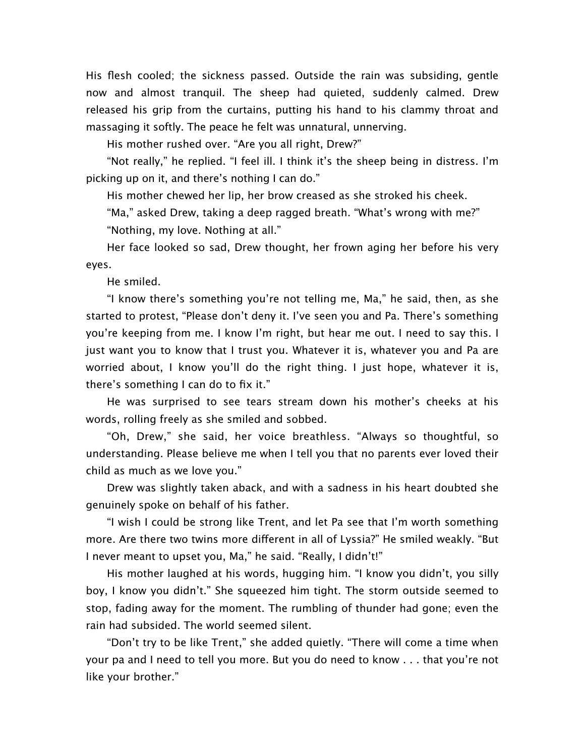His flesh cooled; the sickness passed. Outside the rain was subsiding, gentle now and almost tranquil. The sheep had quieted, suddenly calmed. Drew released his grip from the curtains, putting his hand to his clammy throat and massaging it softly. The peace he felt was unnatural, unnerving.

His mother rushed over. "Are you all right, Drew?"

"Not really," he replied. "I feel ill. I think it's the sheep being in distress. I'm picking up on it, and there's nothing I can do."

His mother chewed her lip, her brow creased as she stroked his cheek.

"Ma," asked Drew, taking a deep ragged breath. "What's wrong with me?" "Nothing, my love. Nothing at all."

Her face looked so sad, Drew thought, her frown aging her before his very eyes.

He smiled.

"I know there's something you're not telling me, Ma," he said, then, as she started to protest, "Please don't deny it. I've seen you and Pa. There's something you're keeping from me. I know I'm right, but hear me out. I need to say this. I just want you to know that I trust you. Whatever it is, whatever you and Pa are worried about, I know you'll do the right thing. I just hope, whatever it is, there's something I can do to fix it."

He was surprised to see tears stream down his mother's cheeks at his words, rolling freely as she smiled and sobbed.

"Oh, Drew," she said, her voice breathless. "Always so thoughtful, so understanding. Please believe me when I tell you that no parents ever loved their child as much as we love you."

Drew was slightly taken aback, and with a sadness in his heart doubted she genuinely spoke on behalf of his father.

"I wish I could be strong like Trent, and let Pa see that I'm worth something more. Are there two twins more diferent in all of Lyssia?" He smiled weakly. "But I never meant to upset you, Ma," he said. "Really, I didn't!"

His mother laughed at his words, hugging him. "I know you didn't, you silly boy, I know you didn't." She squeezed him tight. The storm outside seemed to stop, fading away for the moment. The rumbling of thunder had gone; even the rain had subsided. The world seemed silent.

"Don't try to be like Trent," she added quietly. "There will come a time when your pa and I need to tell you more. But you do need to know . . . that you're not like your brother."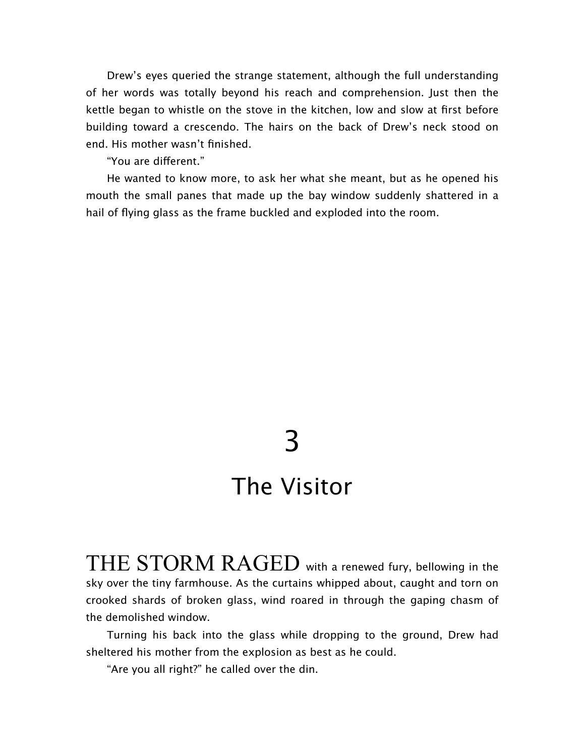Drew's eyes queried the strange statement, although the full understanding of her words was totally beyond his reach and comprehension. Just then the kettle began to whistle on the stove in the kitchen, low and slow at first before building toward a crescendo. The hairs on the back of Drew's neck stood on end. His mother wasn't finished.

"You are diferent."

He wanted to know more, to ask her what she meant, but as he opened his mouth the small panes that made up the bay window suddenly shattered in a hail of flying glass as the frame buckled and exploded into the room.

3

## The Visitor

THE STORM RAGED with a renewed fury, bellowing in the sky over the tiny farmhouse. As the curtains whipped about, caught and torn on crooked shards of broken glass, wind roared in through the gaping chasm of the demolished window.

Turning his back into the glass while dropping to the ground, Drew had sheltered his mother from the explosion as best as he could.

"Are you all right?" he called over the din.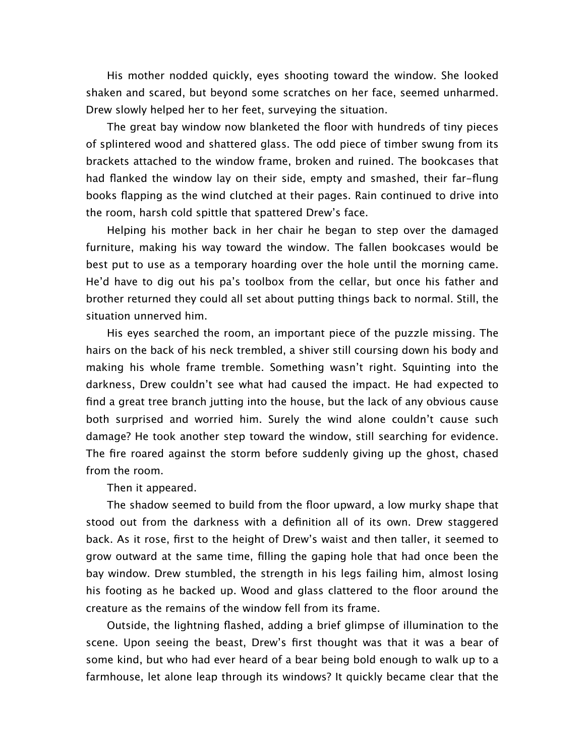His mother nodded quickly, eyes shooting toward the window. She looked shaken and scared, but beyond some scratches on her face, seemed unharmed. Drew slowly helped her to her feet, surveying the situation.

The great bay window now blanketed the floor with hundreds of tiny pieces of splintered wood and shattered glass. The odd piece of timber swung from its brackets attached to the window frame, broken and ruined. The bookcases that had flanked the window lay on their side, empty and smashed, their far-flung books flapping as the wind clutched at their pages. Rain continued to drive into the room, harsh cold spittle that spattered Drew's face.

Helping his mother back in her chair he began to step over the damaged furniture, making his way toward the window. The fallen bookcases would be best put to use as a temporary hoarding over the hole until the morning came. He'd have to dig out his pa's toolbox from the cellar, but once his father and brother returned they could all set about putting things back to normal. Still, the situation unnerved him.

His eyes searched the room, an important piece of the puzzle missing. The hairs on the back of his neck trembled, a shiver still coursing down his body and making his whole frame tremble. Something wasn't right. Squinting into the darkness, Drew couldn't see what had caused the impact. He had expected to find a great tree branch jutting into the house, but the lack of any obvious cause both surprised and worried him. Surely the wind alone couldn't cause such damage? He took another step toward the window, still searching for evidence. The fire roared against the storm before suddenly giving up the ghost, chased from the room.

Then it appeared.

The shadow seemed to build from the floor upward, a low murky shape that stood out from the darkness with a definition all of its own. Drew staggered back. As it rose, first to the height of Drew's waist and then taller, it seemed to grow outward at the same time, filling the gaping hole that had once been the bay window. Drew stumbled, the strength in his legs failing him, almost losing his footing as he backed up. Wood and glass clattered to the floor around the creature as the remains of the window fell from its frame.

Outside, the lightning flashed, adding a brief glimpse of illumination to the scene. Upon seeing the beast, Drew's first thought was that it was a bear of some kind, but who had ever heard of a bear being bold enough to walk up to a farmhouse, let alone leap through its windows? It quickly became clear that the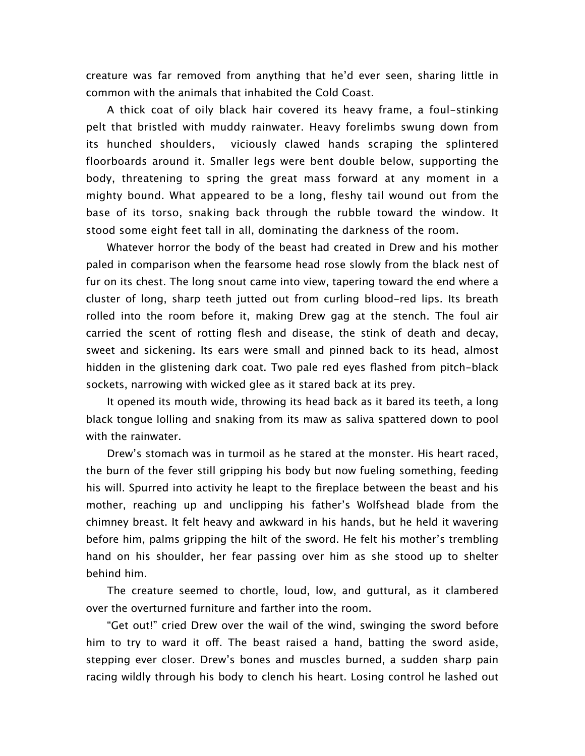creature was far removed from anything that he'd ever seen, sharing little in common with the animals that inhabited the Cold Coast.

A thick coat of oily black hair covered its heavy frame, a foul-stinking pelt that bristled with muddy rainwater. Heavy forelimbs swung down from its hunched shoulders, viciously clawed hands scraping the splintered floorboards around it. Smaller legs were bent double below, supporting the body, threatening to spring the great mass forward at any moment in a mighty bound. What appeared to be a long, fleshy tail wound out from the base of its torso, snaking back through the rubble toward the window. It stood some eight feet tall in all, dominating the darkness of the room.

Whatever horror the body of the beast had created in Drew and his mother paled in comparison when the fearsome head rose slowly from the black nest of fur on its chest. The long snout came into view, tapering toward the end where a cluster of long, sharp teeth jutted out from curling blood-red lips. Its breath rolled into the room before it, making Drew gag at the stench. The foul air carried the scent of rotting flesh and disease, the stink of death and decay, sweet and sickening. Its ears were small and pinned back to its head, almost hidden in the glistening dark coat. Two pale red eyes flashed from pitch-black sockets, narrowing with wicked glee as it stared back at its prey.

It opened its mouth wide, throwing its head back as it bared its teeth, a long black tongue lolling and snaking from its maw as saliva spattered down to pool with the rainwater.

Drew's stomach was in turmoil as he stared at the monster. His heart raced, the burn of the fever still gripping his body but now fueling something, feeding his will. Spurred into activity he leapt to the fireplace between the beast and his mother, reaching up and unclipping his father's Wolfshead blade from the chimney breast. It felt heavy and awkward in his hands, but he held it wavering before him, palms gripping the hilt of the sword. He felt his mother's trembling hand on his shoulder, her fear passing over him as she stood up to shelter behind him.

The creature seemed to chortle, loud, low, and guttural, as it clambered over the overturned furniture and farther into the room.

"Get out!" cried Drew over the wail of the wind, swinging the sword before him to try to ward it off. The beast raised a hand, batting the sword aside, stepping ever closer. Drew's bones and muscles burned, a sudden sharp pain racing wildly through his body to clench his heart. Losing control he lashed out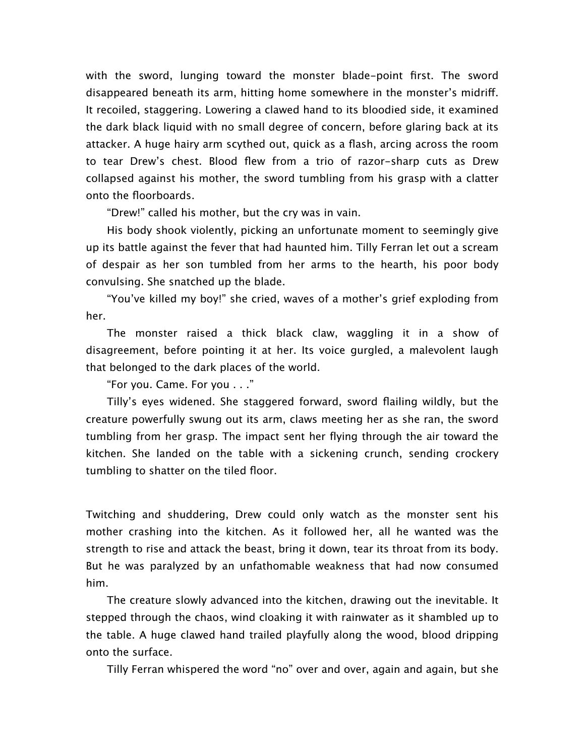with the sword, lunging toward the monster blade-point first. The sword disappeared beneath its arm, hitting home somewhere in the monster's midrif. It recoiled, staggering. Lowering a clawed hand to its bloodied side, it examined the dark black liquid with no small degree of concern, before glaring back at its attacker. A huge hairy arm scythed out, quick as a flash, arcing across the room to tear Drew's chest. Blood flew from a trio of razor-sharp cuts as Drew collapsed against his mother, the sword tumbling from his grasp with a clatter onto the floorboards.

"Drew!" called his mother, but the cry was in vain.

His body shook violently, picking an unfortunate moment to seemingly give up its battle against the fever that had haunted him. Tilly Ferran let out a scream of despair as her son tumbled from her arms to the hearth, his poor body convulsing. She snatched up the blade.

"You've killed my boy!" she cried, waves of a mother's grief exploding from her.

The monster raised a thick black claw, waggling it in a show of disagreement, before pointing it at her. Its voice gurgled, a malevolent laugh that belonged to the dark places of the world.

"For you. Came. For you . . ."

Tilly's eyes widened. She staggered forward, sword flailing wildly, but the creature powerfully swung out its arm, claws meeting her as she ran, the sword tumbling from her grasp. The impact sent her flying through the air toward the kitchen. She landed on the table with a sickening crunch, sending crockery tumbling to shatter on the tiled floor.

Twitching and shuddering, Drew could only watch as the monster sent his mother crashing into the kitchen. As it followed her, all he wanted was the strength to rise and attack the beast, bring it down, tear its throat from its body. But he was paralyzed by an unfathomable weakness that had now consumed him.

The creature slowly advanced into the kitchen, drawing out the inevitable. It stepped through the chaos, wind cloaking it with rainwater as it shambled up to the table. A huge clawed hand trailed playfully along the wood, blood dripping onto the surface.

Tilly Ferran whispered the word "no" over and over, again and again, but she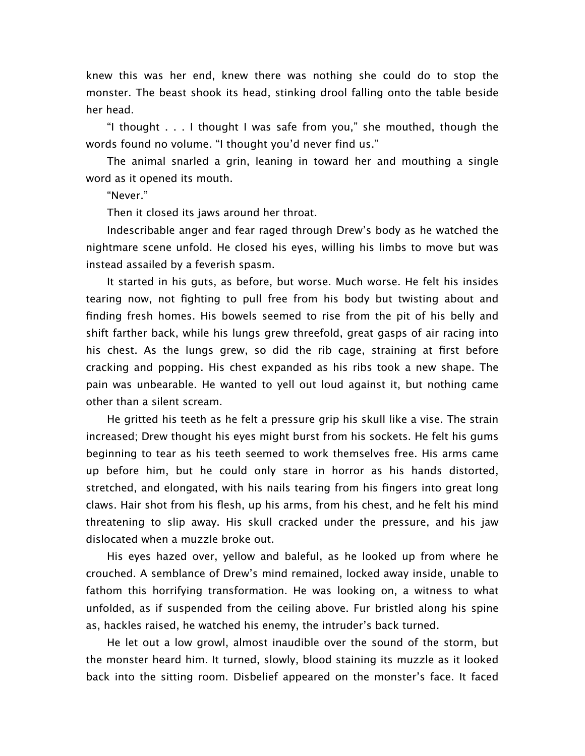knew this was her end, knew there was nothing she could do to stop the monster. The beast shook its head, stinking drool falling onto the table beside her head.

"I thought . . . I thought I was safe from you," she mouthed, though the words found no volume. "I thought you'd never find us."

The animal snarled a grin, leaning in toward her and mouthing a single word as it opened its mouth.

"Never."

Then it closed its jaws around her throat.

Indescribable anger and fear raged through Drew's body as he watched the nightmare scene unfold. He closed his eyes, willing his limbs to move but was instead assailed by a feverish spasm.

It started in his guts, as before, but worse. Much worse. He felt his insides tearing now, not fighting to pull free from his body but twisting about and finding fresh homes. His bowels seemed to rise from the pit of his belly and shift farther back, while his lungs grew threefold, great gasps of air racing into his chest. As the lungs grew, so did the rib cage, straining at first before cracking and popping. His chest expanded as his ribs took a new shape. The pain was unbearable. He wanted to yell out loud against it, but nothing came other than a silent scream.

He gritted his teeth as he felt a pressure grip his skull like a vise. The strain increased; Drew thought his eyes might burst from his sockets. He felt his gums beginning to tear as his teeth seemed to work themselves free. His arms came up before him, but he could only stare in horror as his hands distorted, stretched, and elongated, with his nails tearing from his fingers into great long claws. Hair shot from his flesh, up his arms, from his chest, and he felt his mind threatening to slip away. His skull cracked under the pressure, and his jaw dislocated when a muzzle broke out.

His eyes hazed over, yellow and baleful, as he looked up from where he crouched. A semblance of Drew's mind remained, locked away inside, unable to fathom this horrifying transformation. He was looking on, a witness to what unfolded, as if suspended from the ceiling above. Fur bristled along his spine as, hackles raised, he watched his enemy, the intruder's back turned.

He let out a low growl, almost inaudible over the sound of the storm, but the monster heard him. It turned, slowly, blood staining its muzzle as it looked back into the sitting room. Disbelief appeared on the monster's face. It faced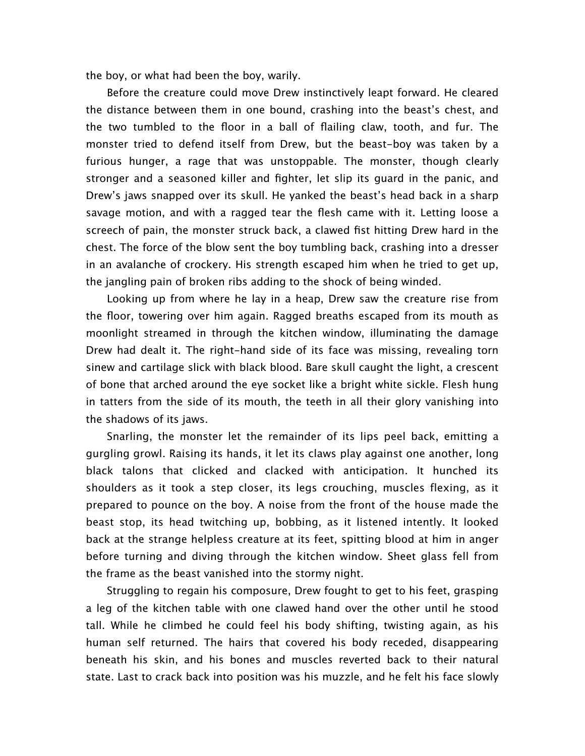the boy, or what had been the boy, warily.

Before the creature could move Drew instinctively leapt forward. He cleared the distance between them in one bound, crashing into the beast's chest, and the two tumbled to the floor in a ball of flailing claw, tooth, and fur. The monster tried to defend itself from Drew, but the beast-boy was taken by a furious hunger, a rage that was unstoppable. The monster, though clearly stronger and a seasoned killer and fighter, let slip its guard in the panic, and Drew's jaws snapped over its skull. He yanked the beast's head back in a sharp savage motion, and with a ragged tear the flesh came with it. Letting loose a screech of pain, the monster struck back, a clawed fist hitting Drew hard in the chest. The force of the blow sent the boy tumbling back, crashing into a dresser in an avalanche of crockery. His strength escaped him when he tried to get up, the jangling pain of broken ribs adding to the shock of being winded.

Looking up from where he lay in a heap, Drew saw the creature rise from the floor, towering over him again. Ragged breaths escaped from its mouth as moonlight streamed in through the kitchen window, illuminating the damage Drew had dealt it. The right-hand side of its face was missing, revealing torn sinew and cartilage slick with black blood. Bare skull caught the light, a crescent of bone that arched around the eye socket like a bright white sickle. Flesh hung in tatters from the side of its mouth, the teeth in all their glory vanishing into the shadows of its jaws.

Snarling, the monster let the remainder of its lips peel back, emitting a gurgling growl. Raising its hands, it let its claws play against one another, long black talons that clicked and clacked with anticipation. It hunched its shoulders as it took a step closer, its legs crouching, muscles flexing, as it prepared to pounce on the boy. A noise from the front of the house made the beast stop, its head twitching up, bobbing, as it listened intently. It looked back at the strange helpless creature at its feet, spitting blood at him in anger before turning and diving through the kitchen window. Sheet glass fell from the frame as the beast vanished into the stormy night.

Struggling to regain his composure, Drew fought to get to his feet, grasping a leg of the kitchen table with one clawed hand over the other until he stood tall. While he climbed he could feel his body shifting, twisting again, as his human self returned. The hairs that covered his body receded, disappearing beneath his skin, and his bones and muscles reverted back to their natural state. Last to crack back into position was his muzzle, and he felt his face slowly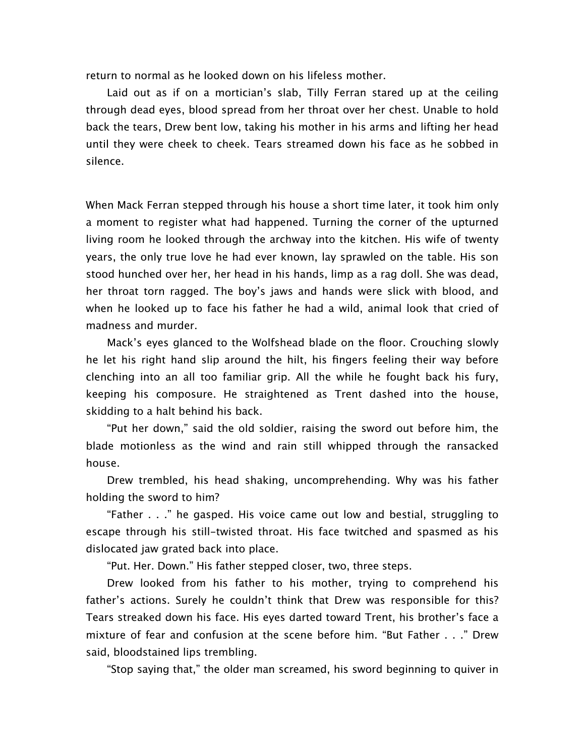return to normal as he looked down on his lifeless mother.

Laid out as if on a mortician's slab, Tilly Ferran stared up at the ceiling through dead eyes, blood spread from her throat over her chest. Unable to hold back the tears, Drew bent low, taking his mother in his arms and lifting her head until they were cheek to cheek. Tears streamed down his face as he sobbed in silence.

When Mack Ferran stepped through his house a short time later, it took him only a moment to register what had happened. Turning the corner of the upturned living room he looked through the archway into the kitchen. His wife of twenty years, the only true love he had ever known, lay sprawled on the table. His son stood hunched over her, her head in his hands, limp as a rag doll. She was dead, her throat torn ragged. The boy's jaws and hands were slick with blood, and when he looked up to face his father he had a wild, animal look that cried of madness and murder.

Mack's eyes glanced to the Wolfshead blade on the floor. Crouching slowly he let his right hand slip around the hilt, his fingers feeling their way before clenching into an all too familiar grip. All the while he fought back his fury, keeping his composure. He straightened as Trent dashed into the house, skidding to a halt behind his back.

"Put her down," said the old soldier, raising the sword out before him, the blade motionless as the wind and rain still whipped through the ransacked house.

Drew trembled, his head shaking, uncomprehending. Why was his father holding the sword to him?

"Father . . ." he gasped. His voice came out low and bestial, struggling to escape through his still-twisted throat. His face twitched and spasmed as his dislocated jaw grated back into place.

"Put. Her. Down." His father stepped closer, two, three steps.

Drew looked from his father to his mother, trying to comprehend his father's actions. Surely he couldn't think that Drew was responsible for this? Tears streaked down his face. His eyes darted toward Trent, his brother's face a mixture of fear and confusion at the scene before him. "But Father . . ." Drew said, bloodstained lips trembling.

"Stop saying that," the older man screamed, his sword beginning to quiver in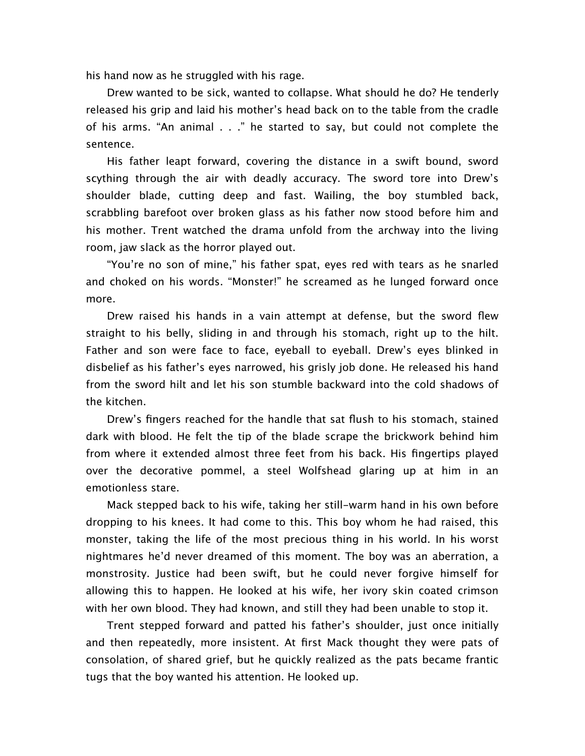his hand now as he struggled with his rage.

Drew wanted to be sick, wanted to collapse. What should he do? He tenderly released his grip and laid his mother's head back on to the table from the cradle of his arms. "An animal . . ." he started to say, but could not complete the sentence.

His father leapt forward, covering the distance in a swift bound, sword scything through the air with deadly accuracy. The sword tore into Drew's shoulder blade, cutting deep and fast. Wailing, the boy stumbled back, scrabbling barefoot over broken glass as his father now stood before him and his mother. Trent watched the drama unfold from the archway into the living room, jaw slack as the horror played out.

"You're no son of mine," his father spat, eyes red with tears as he snarled and choked on his words. "Monster!" he screamed as he lunged forward once more.

Drew raised his hands in a vain attempt at defense, but the sword flew straight to his belly, sliding in and through his stomach, right up to the hilt. Father and son were face to face, eyeball to eyeball. Drew's eyes blinked in disbelief as his father's eyes narrowed, his grisly job done. He released his hand from the sword hilt and let his son stumble backward into the cold shadows of the kitchen.

Drew's fingers reached for the handle that sat flush to his stomach, stained dark with blood. He felt the tip of the blade scrape the brickwork behind him from where it extended almost three feet from his back. His fingertips played over the decorative pommel, a steel Wolfshead glaring up at him in an emotionless stare.

Mack stepped back to his wife, taking her still-warm hand in his own before dropping to his knees. It had come to this. This boy whom he had raised, this monster, taking the life of the most precious thing in his world. In his worst nightmares he'd never dreamed of this moment. The boy was an aberration, a monstrosity. Justice had been swift, but he could never forgive himself for allowing this to happen. He looked at his wife, her ivory skin coated crimson with her own blood. They had known, and still they had been unable to stop it.

Trent stepped forward and patted his father's shoulder, just once initially and then repeatedly, more insistent. At first Mack thought they were pats of consolation, of shared grief, but he quickly realized as the pats became frantic tugs that the boy wanted his attention. He looked up.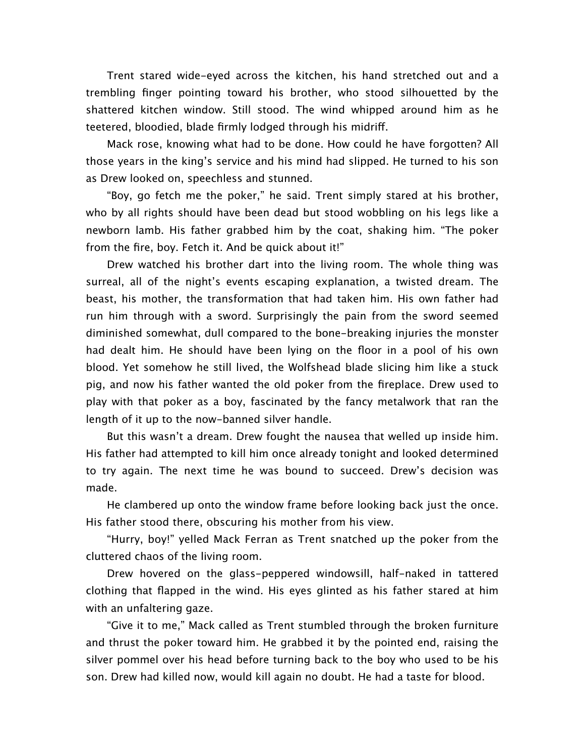Trent stared wide-eyed across the kitchen, his hand stretched out and a trembling finger pointing toward his brother, who stood silhouetted by the shattered kitchen window. Still stood. The wind whipped around him as he teetered, bloodied, blade firmly lodged through his midrif.

Mack rose, knowing what had to be done. How could he have forgotten? All those years in the king's service and his mind had slipped. He turned to his son as Drew looked on, speechless and stunned.

"Boy, go fetch me the poker," he said. Trent simply stared at his brother, who by all rights should have been dead but stood wobbling on his legs like a newborn lamb. His father grabbed him by the coat, shaking him. "The poker from the fire, boy. Fetch it. And be quick about it!"

Drew watched his brother dart into the living room. The whole thing was surreal, all of the night's events escaping explanation, a twisted dream. The beast, his mother, the transformation that had taken him. His own father had run him through with a sword. Surprisingly the pain from the sword seemed diminished somewhat, dull compared to the bone-breaking injuries the monster had dealt him. He should have been lying on the floor in a pool of his own blood. Yet somehow he still lived, the Wolfshead blade slicing him like a stuck pig, and now his father wanted the old poker from the fireplace. Drew used to play with that poker as a boy, fascinated by the fancy metalwork that ran the length of it up to the now-banned silver handle.

But this wasn't a dream. Drew fought the nausea that welled up inside him. His father had attempted to kill him once already tonight and looked determined to try again. The next time he was bound to succeed. Drew's decision was made.

He clambered up onto the window frame before looking back just the once. His father stood there, obscuring his mother from his view.

"Hurry, boy!" yelled Mack Ferran as Trent snatched up the poker from the cluttered chaos of the living room.

Drew hovered on the glass-peppered windowsill, half-naked in tattered clothing that flapped in the wind. His eyes glinted as his father stared at him with an unfaltering gaze.

"Give it to me," Mack called as Trent stumbled through the broken furniture and thrust the poker toward him. He grabbed it by the pointed end, raising the silver pommel over his head before turning back to the boy who used to be his son. Drew had killed now, would kill again no doubt. He had a taste for blood.